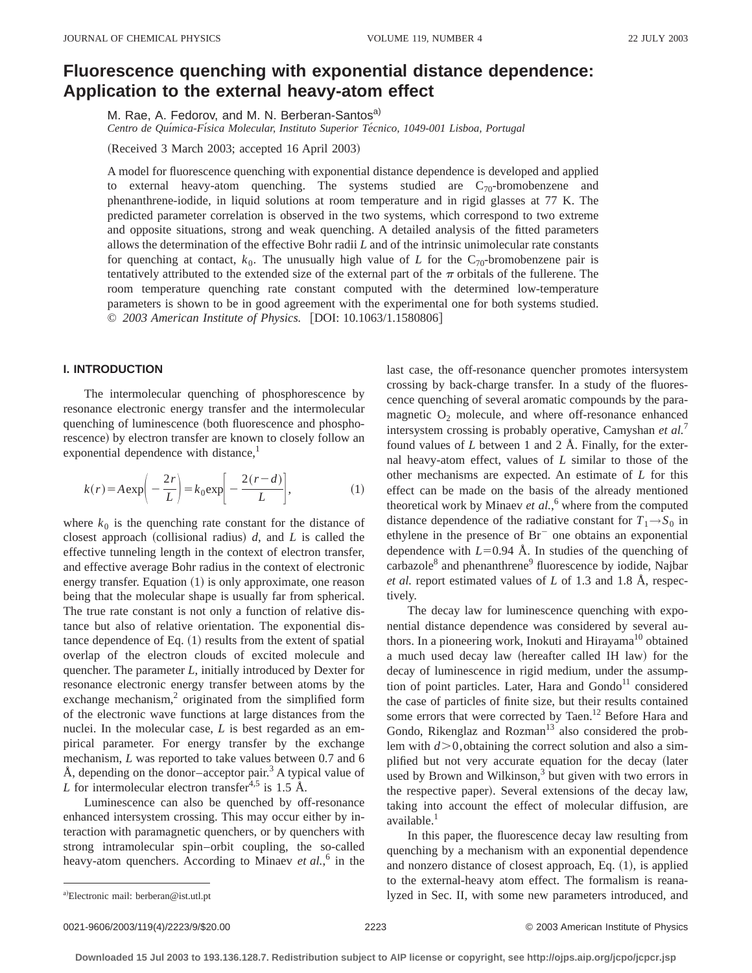# **Fluorescence quenching with exponential distance dependence: Application to the external heavy-atom effect**

M. Rae, A. Fedorov, and M. N. Berberan-Santos<sup>a)</sup>

Centro de Química-Física Molecular, Instituto Superior Técnico, 1049-001 Lisboa, Portugal

(Received 3 March 2003; accepted 16 April 2003)

A model for fluorescence quenching with exponential distance dependence is developed and applied to external heavy-atom quenching. The systems studied are  $C_{70}$ -bromobenzene and phenanthrene-iodide, in liquid solutions at room temperature and in rigid glasses at 77 K. The predicted parameter correlation is observed in the two systems, which correspond to two extreme and opposite situations, strong and weak quenching. A detailed analysis of the fitted parameters allows the determination of the effective Bohr radii *L* and of the intrinsic unimolecular rate constants for quenching at contact,  $k_0$ . The unusually high value of *L* for the C<sub>70</sub>-bromobenzene pair is tentatively attributed to the extended size of the external part of the  $\pi$  orbitals of the fullerene. The room temperature quenching rate constant computed with the determined low-temperature parameters is shown to be in good agreement with the experimental one for both systems studied. © 2003 American Institute of Physics. [DOI: 10.1063/1.1580806]

## **I. INTRODUCTION**

The intermolecular quenching of phosphorescence by resonance electronic energy transfer and the intermolecular quenching of luminescence (both fluorescence and phosphorescence) by electron transfer are known to closely follow an exponential dependence with distance, $\frac{1}{1}$ 

$$
k(r) = A \exp\left(-\frac{2r}{L}\right) = k_0 \exp\left[-\frac{2(r-d)}{L}\right],\tag{1}
$$

where  $k_0$  is the quenching rate constant for the distance of closest approach (collisional radius)  $d$ , and  $L$  is called the effective tunneling length in the context of electron transfer, and effective average Bohr radius in the context of electronic energy transfer. Equation  $(1)$  is only approximate, one reason being that the molecular shape is usually far from spherical. The true rate constant is not only a function of relative distance but also of relative orientation. The exponential distance dependence of Eq.  $(1)$  results from the extent of spatial overlap of the electron clouds of excited molecule and quencher. The parameter *L*, initially introduced by Dexter for resonance electronic energy transfer between atoms by the exchange mechanism, $\frac{2}{3}$  originated from the simplified form of the electronic wave functions at large distances from the nuclei. In the molecular case, *L* is best regarded as an empirical parameter. For energy transfer by the exchange mechanism, *L* was reported to take values between 0.7 and 6 Å, depending on the donor–acceptor pair.<sup>3</sup> A typical value of *L* for intermolecular electron transfer<sup> $4,5$ </sup> is 1.5 Å.

Luminescence can also be quenched by off-resonance enhanced intersystem crossing. This may occur either by interaction with paramagnetic quenchers, or by quenchers with strong intramolecular spin–orbit coupling, the so-called heavy-atom quenchers. According to Minaev *et al.*, <sup>6</sup> in the last case, the off-resonance quencher promotes intersystem crossing by back-charge transfer. In a study of the fluorescence quenching of several aromatic compounds by the paramagnetic  $O_2$  molecule, and where off-resonance enhanced intersystem crossing is probably operative, Camyshan *et al.*<sup>7</sup> found values of *L* between 1 and 2 Å. Finally, for the external heavy-atom effect, values of *L* similar to those of the other mechanisms are expected. An estimate of *L* for this effect can be made on the basis of the already mentioned theoretical work by Minaev *et al.*, <sup>6</sup> where from the computed distance dependence of the radiative constant for  $T_1 \rightarrow S_0$  in ethylene in the presence of  $Br^-$  one obtains an exponential dependence with  $L=0.94$  Å. In studies of the quenching of carbazole $8$  and phenanthrene $9$  fluorescence by iodide, Najbar *et al.* report estimated values of *L* of 1.3 and 1.8 Å, respectively.

The decay law for luminescence quenching with exponential distance dependence was considered by several authors. In a pioneering work, Inokuti and Hirayama $10$  obtained a much used decay law (hereafter called IH law) for the decay of luminescence in rigid medium, under the assumption of point particles. Later, Hara and  $Gondo<sup>11</sup>$  considered the case of particles of finite size, but their results contained some errors that were corrected by Taen.<sup>12</sup> Before Hara and Gondo, Rikenglaz and Rozman<sup>13</sup> also considered the problem with  $d > 0$ , obtaining the correct solution and also a simplified but not very accurate equation for the decay (later used by Brown and Wilkinson, $3$  but given with two errors in the respective paper). Several extensions of the decay law, taking into account the effect of molecular diffusion, are available.<sup>1</sup>

In this paper, the fluorescence decay law resulting from quenching by a mechanism with an exponential dependence and nonzero distance of closest approach, Eq.  $(1)$ , is applied to the external-heavy atom effect. The formalism is reanalyzed in Sec. II, with some new parameters introduced, and

a)Electronic mail: berberan@ist.utl.pt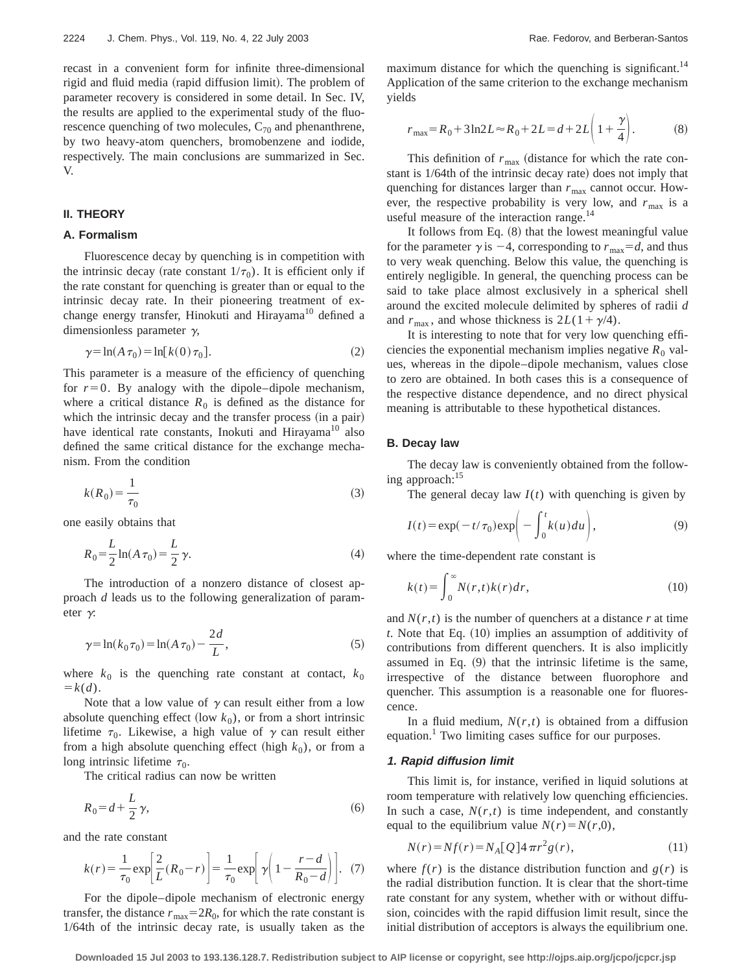recast in a convenient form for infinite three-dimensional rigid and fluid media (rapid diffusion limit). The problem of parameter recovery is considered in some detail. In Sec. IV, the results are applied to the experimental study of the fluorescence quenching of two molecules,  $C_{70}$  and phenanthrene, by two heavy-atom quenchers, bromobenzene and iodide, respectively. The main conclusions are summarized in Sec. V.

# **II. THEORY**

# **A. Formalism**

Fluorescence decay by quenching is in competition with the intrinsic decay (rate constant  $1/\tau_0$ ). It is efficient only if the rate constant for quenching is greater than or equal to the intrinsic decay rate. In their pioneering treatment of exchange energy transfer, Hinokuti and Hirayama<sup>10</sup> defined a dimensionless parameter  $\gamma$ ,

$$
\gamma = \ln(A \tau_0) = \ln[k(0) \tau_0]. \tag{2}
$$

This parameter is a measure of the efficiency of quenching for  $r=0$ . By analogy with the dipole–dipole mechanism, where a critical distance  $R_0$  is defined as the distance for which the intrinsic decay and the transfer process (in a pair) have identical rate constants, Inokuti and Hirayama<sup>10</sup> also defined the same critical distance for the exchange mechanism. From the condition

$$
k(R_0) = \frac{1}{\tau_0} \tag{3}
$$

one easily obtains that

$$
R_0 = \frac{L}{2} \ln(A \tau_0) = \frac{L}{2} \gamma.
$$
 (4)

The introduction of a nonzero distance of closest approach *d* leads us to the following generalization of parameter  $\gamma$ :

$$
\gamma = \ln(k_0 \tau_0) = \ln(A \tau_0) - \frac{2d}{L},\tag{5}
$$

where  $k_0$  is the quenching rate constant at contact,  $k_0$  $= k(d)$ .

Note that a low value of  $\gamma$  can result either from a low absolute quenching effect (low  $k_0$ ), or from a short intrinsic lifetime  $\tau_0$ . Likewise, a high value of  $\gamma$  can result either from a high absolute quenching effect (high  $k_0$ ), or from a long intrinsic lifetime  $\tau_0$ .

The critical radius can now be written

$$
R_0 = d + \frac{L}{2}\gamma,\tag{6}
$$

and the rate constant

$$
k(r) = \frac{1}{\tau_0} \exp\left[\frac{2}{L}(R_0 - r)\right] = \frac{1}{\tau_0} \exp\left[\gamma \left(1 - \frac{r - d}{R_0 - d}\right)\right].
$$
 (7)

For the dipole–dipole mechanism of electronic energy transfer, the distance  $r_{\text{max}}=2R_0$ , for which the rate constant is 1/64th of the intrinsic decay rate, is usually taken as the maximum distance for which the quenching is significant.<sup>14</sup> Application of the same criterion to the exchange mechanism yields

$$
r_{\text{max}} = R_0 + 3\ln 2L \approx R_0 + 2L = d + 2L\left(1 + \frac{\gamma}{4}\right). \tag{8}
$$

This definition of  $r_{\text{max}}$  (distance for which the rate constant is  $1/64$ th of the intrinsic decay rate) does not imply that quenching for distances larger than  $r_{\text{max}}$  cannot occur. However, the respective probability is very low, and  $r_{\text{max}}$  is a useful measure of the interaction range.<sup>14</sup>

It follows from Eq.  $(8)$  that the lowest meaningful value for the parameter  $\gamma$  is  $-4$ , corresponding to  $r_{\text{max}}=d$ , and thus to very weak quenching. Below this value, the quenching is entirely negligible. In general, the quenching process can be said to take place almost exclusively in a spherical shell around the excited molecule delimited by spheres of radii *d* and  $r_{\text{max}}$ , and whose thickness is  $2L(1+\gamma/4)$ .

It is interesting to note that for very low quenching efficiencies the exponential mechanism implies negative  $R_0$  values, whereas in the dipole–dipole mechanism, values close to zero are obtained. In both cases this is a consequence of the respective distance dependence, and no direct physical meaning is attributable to these hypothetical distances.

# **B. Decay law**

The decay law is conveniently obtained from the following approach:<sup>15</sup>

The general decay law  $I(t)$  with quenching is given by

$$
I(t) = \exp(-t/\tau_0) \exp\left(-\int_0^t k(u) du\right),\tag{9}
$$

where the time-dependent rate constant is

$$
k(t) = \int_0^\infty N(r,t)k(r)dr,\tag{10}
$$

and  $N(r,t)$  is the number of quenchers at a distance r at time *t*. Note that Eq. (10) implies an assumption of additivity of contributions from different quenchers. It is also implicitly assumed in Eq.  $(9)$  that the intrinsic lifetime is the same, irrespective of the distance between fluorophore and quencher. This assumption is a reasonable one for fluorescence.

In a fluid medium,  $N(r,t)$  is obtained from a diffusion equation.<sup>1</sup> Two limiting cases suffice for our purposes.

## **1. Rapid diffusion limit**

This limit is, for instance, verified in liquid solutions at room temperature with relatively low quenching efficiencies. In such a case,  $N(r,t)$  is time independent, and constantly equal to the equilibrium value  $N(r) = N(r,0)$ ,

$$
N(r) = Nf(r) = N_A[Q]4\pi r^2 g(r),
$$
\n(11)

where  $f(r)$  is the distance distribution function and  $g(r)$  is the radial distribution function. It is clear that the short-time rate constant for any system, whether with or without diffusion, coincides with the rapid diffusion limit result, since the initial distribution of acceptors is always the equilibrium one.

**Downloaded 15 Jul 2003 to 193.136.128.7. Redistribution subject to AIP license or copyright, see http://ojps.aip.org/jcpo/jcpcr.jsp**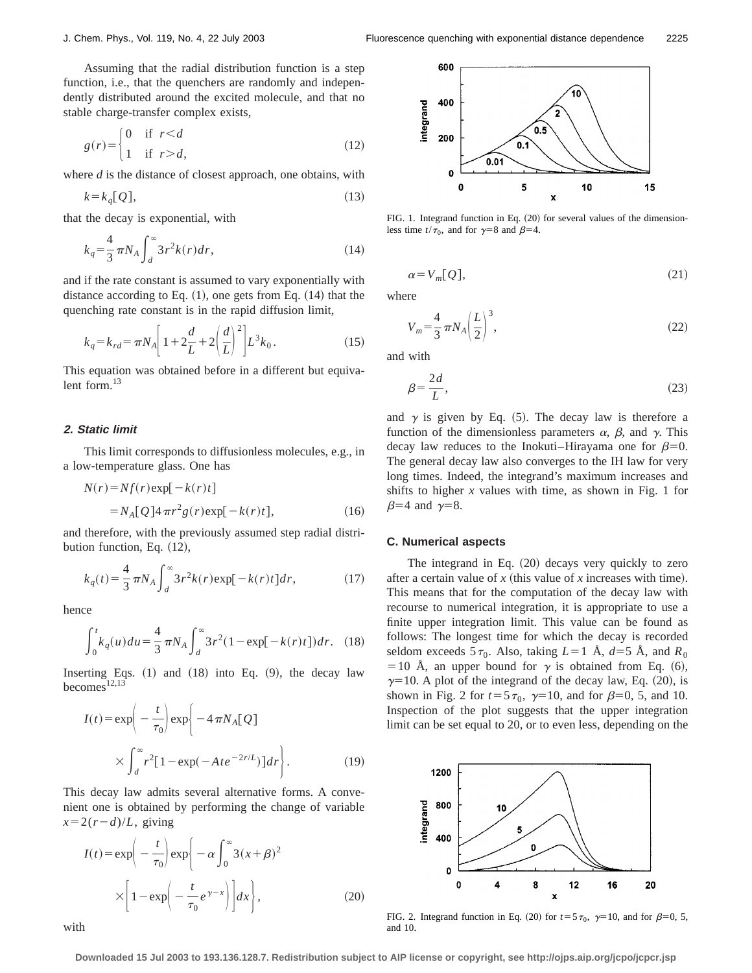Assuming that the radial distribution function is a step function, i.e., that the quenchers are randomly and independently distributed around the excited molecule, and that no stable charge-transfer complex exists,

$$
g(r) = \begin{cases} 0 & \text{if } r < d \\ 1 & \text{if } r > d, \end{cases}
$$
 (12)

where *d* is the distance of closest approach, one obtains, with

$$
k = k_q[Q],\tag{13}
$$

that the decay is exponential, with

$$
k_q = \frac{4}{3} \pi N_A \int_d^{\infty} 3 r^2 k(r) dr,
$$
\n(14)

and if the rate constant is assumed to vary exponentially with distance according to Eq.  $(1)$ , one gets from Eq.  $(14)$  that the quenching rate constant is in the rapid diffusion limit,

$$
k_q = k_{rd} = \pi N_A \left[ 1 + 2\frac{d}{L} + 2\left(\frac{d}{L}\right)^2 \right] L^3 k_0.
$$
 (15)

This equation was obtained before in a different but equivalent form. $^{13}$ 

## **2. Static limit**

This limit corresponds to diffusionless molecules, e.g., in a low-temperature glass. One has

$$
N(r) = Nf(r) \exp[-k(r)t]
$$
  
=  $N_A[Q] 4 \pi r^2 g(r) \exp[-k(r)t]$ , (16)

and therefore, with the previously assumed step radial distribution function, Eq.  $(12)$ ,

$$
k_q(t) = \frac{4}{3} \pi N_A \int_d^{\infty} 3r^2 k(r) \exp[-k(r)t] dr,
$$
 (17)

hence

$$
\int_0^t k_q(u) du = \frac{4}{3} \pi N_A \int_d^{\infty} 3r^2 (1 - \exp[-k(r)t]) dr. \quad (18)
$$

Inserting Eqs.  $(1)$  and  $(18)$  into Eq.  $(9)$ , the decay law becomes $12,13$ 

$$
I(t) = \exp\left(-\frac{t}{\tau_0}\right) \exp\left\{-4\pi N_A[\mathcal{Q}] \times \int_d^\infty r^2[1 - \exp(-Ate^{-2r/L})]dr\right\}.
$$
 (19)

This decay law admits several alternative forms. A convenient one is obtained by performing the change of variable  $x=2(r-d)/L$ , giving

$$
I(t) = \exp\left(-\frac{t}{\tau_0}\right) \exp\left\{-\alpha \int_0^\infty 3(x+\beta)^2 \times \left[1 - \exp\left(-\frac{t}{\tau_0}e^{\gamma - x}\right)\right] dx\right\},\tag{20}
$$



FIG. 1. Integrand function in Eq.  $(20)$  for several values of the dimensionless time  $t/\tau_0$ , and for  $\gamma=8$  and  $\beta=4$ .

$$
\alpha = V_m[Q],\tag{21}
$$

where

$$
V_m = \frac{4}{3} \pi N_A \left(\frac{L}{2}\right)^3,\tag{22}
$$

and with

$$
\beta = \frac{2d}{L},\tag{23}
$$

and  $\gamma$  is given by Eq. (5). The decay law is therefore a function of the dimensionless parameters  $\alpha$ ,  $\beta$ , and  $\gamma$ . This decay law reduces to the Inokuti–Hirayama one for  $\beta=0$ . The general decay law also converges to the IH law for very long times. Indeed, the integrand's maximum increases and shifts to higher  $x$  values with time, as shown in Fig. 1 for  $\beta=4$  and  $\gamma=8$ .

## **C. Numerical aspects**

The integrand in Eq.  $(20)$  decays very quickly to zero after a certain value of  $x$  (this value of  $x$  increases with time). This means that for the computation of the decay law with recourse to numerical integration, it is appropriate to use a finite upper integration limit. This value can be found as follows: The longest time for which the decay is recorded seldom exceeds  $5\tau_0$ . Also, taking  $L=1$  Å,  $d=5$  Å, and  $R_0$ = 10 Å, an upper bound for  $\gamma$  is obtained from Eq. (6),  $\gamma=10$ . A plot of the integrand of the decay law, Eq. (20), is shown in Fig. 2 for  $t=5\tau_0$ ,  $\gamma=10$ , and for  $\beta=0$ , 5, and 10. Inspection of the plot suggests that the upper integration limit can be set equal to 20, or to even less, depending on the



FIG. 2. Integrand function in Eq. (20) for  $t=5\tau_0$ ,  $\gamma=10$ , and for  $\beta=0, 5$ , and 10.

with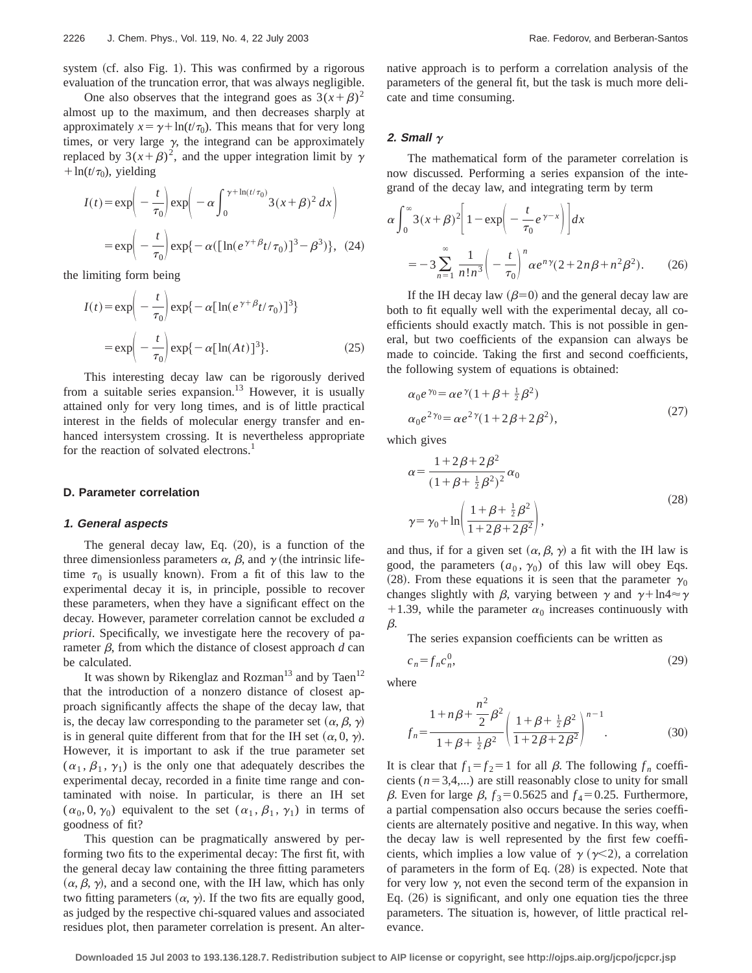One also observes that the integrand goes as  $3(x+\beta)^2$ almost up to the maximum, and then decreases sharply at approximately  $x = \gamma + \ln(t/\tau_0)$ . This means that for very long times, or very large  $\gamma$ , the integrand can be approximately replaced by  $3(x+\beta)^2$ , and the upper integration limit by  $\gamma$  $+\ln(t/\tau_0)$ , yielding

$$
I(t) = \exp\left(-\frac{t}{\tau_0}\right) \exp\left(-\alpha \int_0^{\gamma + \ln(t/\tau_0)} 3(x+\beta)^2 dx\right)
$$

$$
= \exp\left(-\frac{t}{\tau_0}\right) \exp\{-\alpha ([\ln(e^{\gamma + \beta}t/\tau_0)]^3 - \beta^3)\}, (24)
$$

the limiting form being

$$
I(t) = \exp\left(-\frac{t}{\tau_0}\right) \exp\{-\alpha [\ln(e^{\gamma+\beta}t/\tau_0)]^3\}
$$

$$
= \exp\left(-\frac{t}{\tau_0}\right) \exp\{-\alpha [\ln(At)]^3\}.
$$
 (25)

This interesting decay law can be rigorously derived from a suitable series expansion.<sup>13</sup> However, it is usually attained only for very long times, and is of little practical interest in the fields of molecular energy transfer and enhanced intersystem crossing. It is nevertheless appropriate for the reaction of solvated electrons.<sup>1</sup>

# **D. Parameter correlation**

#### **1. General aspects**

The general decay law, Eq.  $(20)$ , is a function of the three dimensionless parameters  $\alpha$ ,  $\beta$ , and  $\gamma$  (the intrinsic lifetime  $\tau_0$  is usually known). From a fit of this law to the experimental decay it is, in principle, possible to recover these parameters, when they have a significant effect on the decay. However, parameter correlation cannot be excluded *a priori*. Specifically, we investigate here the recovery of parameter  $\beta$ , from which the distance of closest approach  $d$  can be calculated.

It was shown by Rikenglaz and Rozman<sup>13</sup> and by Taen<sup>12</sup> that the introduction of a nonzero distance of closest approach significantly affects the shape of the decay law, that is, the decay law corresponding to the parameter set  $(\alpha, \beta, \gamma)$ is in general quite different from that for the IH set  $(\alpha, 0, \gamma)$ . However, it is important to ask if the true parameter set  $(\alpha_1, \beta_1, \gamma_1)$  is the only one that adequately describes the experimental decay, recorded in a finite time range and contaminated with noise. In particular, is there an IH set  $(\alpha_0, 0, \gamma_0)$  equivalent to the set  $(\alpha_1, \beta_1, \gamma_1)$  in terms of goodness of fit?

This question can be pragmatically answered by performing two fits to the experimental decay: The first fit, with the general decay law containing the three fitting parameters  $(\alpha, \beta, \gamma)$ , and a second one, with the IH law, which has only two fitting parameters  $(\alpha, \gamma)$ . If the two fits are equally good, as judged by the respective chi-squared values and associated residues plot, then parameter correlation is present. An alternative approach is to perform a correlation analysis of the parameters of the general fit, but the task is much more delicate and time consuming.

# 2. **Small**  $\gamma$

The mathematical form of the parameter correlation is now discussed. Performing a series expansion of the integrand of the decay law, and integrating term by term

$$
\alpha \int_0^\infty 3(x+\beta)^2 \left[1 - \exp\left(-\frac{t}{\tau_0}e^{\gamma - x}\right)\right] dx
$$
  
= 
$$
-3 \sum_{n=1}^\infty \frac{1}{n!n^3} \left(-\frac{t}{\tau_0}\right)^n \alpha e^{n\gamma} (2 + 2n\beta + n^2\beta^2).
$$
 (26)

If the IH decay law  $(\beta=0)$  and the general decay law are both to fit equally well with the experimental decay, all coefficients should exactly match. This is not possible in general, but two coefficients of the expansion can always be made to coincide. Taking the first and second coefficients, the following system of equations is obtained:

$$
\alpha_0 e^{\gamma_0} = \alpha e^{\gamma} (1 + \beta + \frac{1}{2} \beta^2)
$$
  
\n
$$
\alpha_0 e^{2\gamma_0} = \alpha e^{2\gamma} (1 + 2\beta + 2\beta^2),
$$
\n(27)

which gives

$$
\alpha = \frac{1 + 2\beta + 2\beta^2}{(1 + \beta + \frac{1}{2}\beta^2)^2} \alpha_0
$$
  

$$
\gamma = \gamma_0 + \ln\left(\frac{1 + \beta + \frac{1}{2}\beta^2}{1 + 2\beta + 2\beta^2}\right),
$$
 (28)

and thus, if for a given set  $(\alpha, \beta, \gamma)$  a fit with the IH law is good, the parameters  $(a_0, \gamma_0)$  of this law will obey Eqs. (28). From these equations it is seen that the parameter  $\gamma_0$ changes slightly with  $\beta$ , varying between  $\gamma$  and  $\gamma + \ln 4 \approx \gamma$ +1.39, while the parameter  $\alpha_0$  increases continuously with  $\beta$ .

The series expansion coefficients can be written as

$$
c_n = f_n c_n^0,\tag{29}
$$

where

$$
f_n = \frac{1 + n\beta + \frac{n^2}{2}\beta^2}{1 + \beta + \frac{1}{2}\beta^2} \left(\frac{1 + \beta + \frac{1}{2}\beta^2}{1 + 2\beta + 2\beta^2}\right)^{n-1}.
$$
 (30)

It is clear that  $f_1 = f_2 = 1$  for all  $\beta$ . The following  $f_n$  coefficients  $(n=3,4,...)$  are still reasonably close to unity for small  $\beta$ . Even for large  $\beta$ ,  $f_3$ =0.5625 and  $f_4$ =0.25. Furthermore, a partial compensation also occurs because the series coefficients are alternately positive and negative. In this way, when the decay law is well represented by the first few coefficients, which implies a low value of  $\gamma$  ( $\gamma$ <2), a correlation of parameters in the form of Eq.  $(28)$  is expected. Note that for very low  $\gamma$ , not even the second term of the expansion in Eq.  $(26)$  is significant, and only one equation ties the three parameters. The situation is, however, of little practical relevance.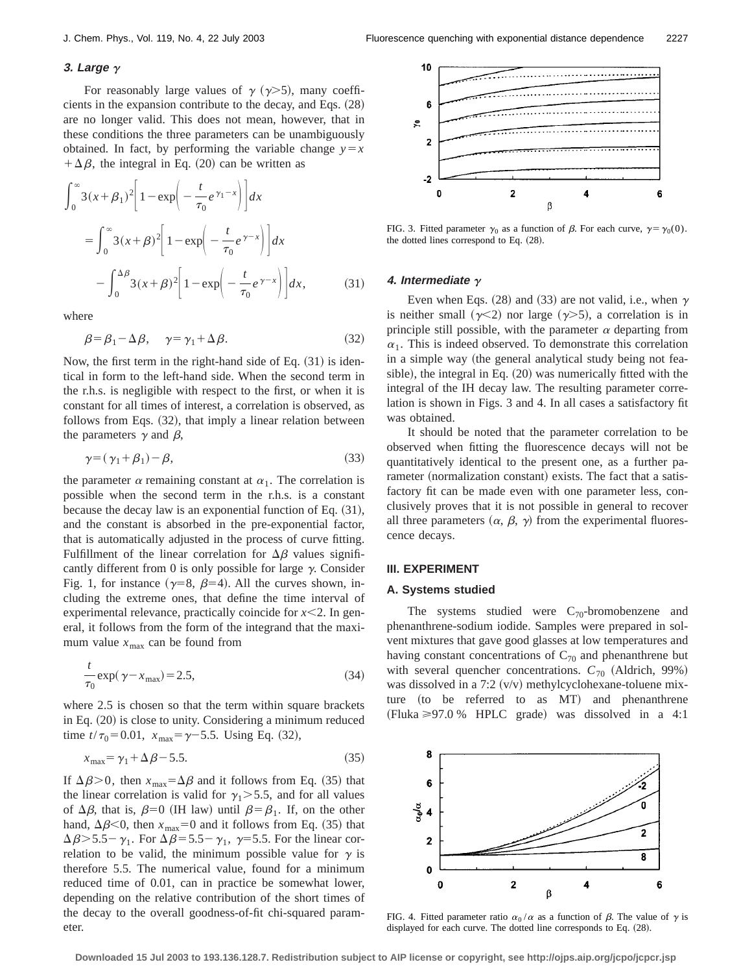# **3. Large** g

For reasonably large values of  $\gamma$  ( $\gamma$ >5), many coefficients in the expansion contribute to the decay, and Eqs.  $(28)$ are no longer valid. This does not mean, however, that in these conditions the three parameters can be unambiguously obtained. In fact, by performing the variable change  $y=x$  $+\Delta\beta$ , the integral in Eq. (20) can be written as

$$
\int_0^\infty 3(x+\beta_1)^2 \left[1-\exp\left(-\frac{t}{\tau_0}e^{\gamma_1-x}\right)\right] dx
$$
  
= 
$$
\int_0^\infty 3(x+\beta)^2 \left[1-\exp\left(-\frac{t}{\tau_0}e^{\gamma-x}\right)\right] dx
$$
  

$$
-\int_0^{\Delta\beta} 3(x+\beta)^2 \left[1-\exp\left(-\frac{t}{\tau_0}e^{\gamma-x}\right)\right] dx,
$$
 (31)

where

$$
\beta = \beta_1 - \Delta \beta, \quad \gamma = \gamma_1 + \Delta \beta. \tag{32}
$$

Now, the first term in the right-hand side of Eq.  $(31)$  is identical in form to the left-hand side. When the second term in the r.h.s. is negligible with respect to the first, or when it is constant for all times of interest, a correlation is observed, as follows from Eqs.  $(32)$ , that imply a linear relation between the parameters  $\gamma$  and  $\beta$ ,

$$
\gamma = (\gamma_1 + \beta_1) - \beta,\tag{33}
$$

the parameter  $\alpha$  remaining constant at  $\alpha_1$ . The correlation is possible when the second term in the r.h.s. is a constant because the decay law is an exponential function of Eq.  $(31)$ , and the constant is absorbed in the pre-exponential factor, that is automatically adjusted in the process of curve fitting. Fulfillment of the linear correlation for  $\Delta\beta$  values significantly different from 0 is only possible for large  $\gamma$ . Consider Fig. 1, for instance ( $\gamma=8$ ,  $\beta=4$ ). All the curves shown, including the extreme ones, that define the time interval of experimental relevance, practically coincide for  $x \leq 2$ . In general, it follows from the form of the integrand that the maximum value  $x_{\text{max}}$  can be found from

$$
\frac{t}{\tau_0} \exp(\gamma - x_{\text{max}}) = 2.5,\tag{34}
$$

where 2.5 is chosen so that the term within square brackets in Eq.  $(20)$  is close to unity. Considering a minimum reduced time  $t/\tau_0 = 0.01$ ,  $x_{\text{max}} = \gamma - 5.5$ . Using Eq. (32),

$$
x_{\text{max}} = \gamma_1 + \Delta \beta - 5.5. \tag{35}
$$

If  $\Delta \beta > 0$ , then  $x_{\text{max}} = \Delta \beta$  and it follows from Eq. (35) that the linear correlation is valid for  $\gamma_1$  > 5.5, and for all values of  $\Delta \beta$ , that is,  $\beta=0$  (IH law) until  $\beta=\beta_1$ . If, on the other hand,  $\Delta \beta$ <0, then  $x_{\text{max}}=0$  and it follows from Eq. (35) that  $\Delta \beta$  > 5.5 –  $\gamma_1$ . For  $\Delta \beta$  = 5.5 –  $\gamma_1$ ,  $\gamma$  = 5.5. For the linear correlation to be valid, the minimum possible value for  $\gamma$  is therefore 5.5. The numerical value, found for a minimum reduced time of 0.01, can in practice be somewhat lower, depending on the relative contribution of the short times of the decay to the overall goodness-of-fit chi-squared parameter.



FIG. 3. Fitted parameter  $\gamma_0$  as a function of  $\beta$ . For each curve,  $\gamma = \gamma_0(0)$ . the dotted lines correspond to Eq.  $(28)$ .

#### **4.** Intermediate  $\gamma$

Even when Eqs.  $(28)$  and  $(33)$  are not valid, i.e., when  $\gamma$ is neither small  $(\gamma \leq 2)$  nor large  $(\gamma > 5)$ , a correlation is in principle still possible, with the parameter  $\alpha$  departing from  $\alpha_1$ . This is indeed observed. To demonstrate this correlation in a simple way (the general analytical study being not feasible), the integral in Eq.  $(20)$  was numerically fitted with the integral of the IH decay law. The resulting parameter correlation is shown in Figs. 3 and 4. In all cases a satisfactory fit was obtained.

It should be noted that the parameter correlation to be observed when fitting the fluorescence decays will not be quantitatively identical to the present one, as a further parameter (normalization constant) exists. The fact that a satisfactory fit can be made even with one parameter less, conclusively proves that it is not possible in general to recover all three parameters  $(\alpha, \beta, \gamma)$  from the experimental fluorescence decays.

## **III. EXPERIMENT**

#### **A. Systems studied**

The systems studied were  $C_{70}$ -bromobenzene and phenanthrene-sodium iodide. Samples were prepared in solvent mixtures that gave good glasses at low temperatures and having constant concentrations of  $C_{70}$  and phenanthrene but with several quencher concentrations.  $C_{70}$  (Aldrich, 99%) was dissolved in a 7:2  $(v/v)$  methylcyclohexane-toluene mixture (to be referred to as  $MT$ ) and phenanthrene (Fluka  $\geq 97.0$  % HPLC grade) was dissolved in a 4:1



FIG. 4. Fitted parameter ratio  $\alpha_0/\alpha$  as a function of  $\beta$ . The value of  $\gamma$  is displayed for each curve. The dotted line corresponds to Eq. (28).

**Downloaded 15 Jul 2003 to 193.136.128.7. Redistribution subject to AIP license or copyright, see http://ojps.aip.org/jcpo/jcpcr.jsp**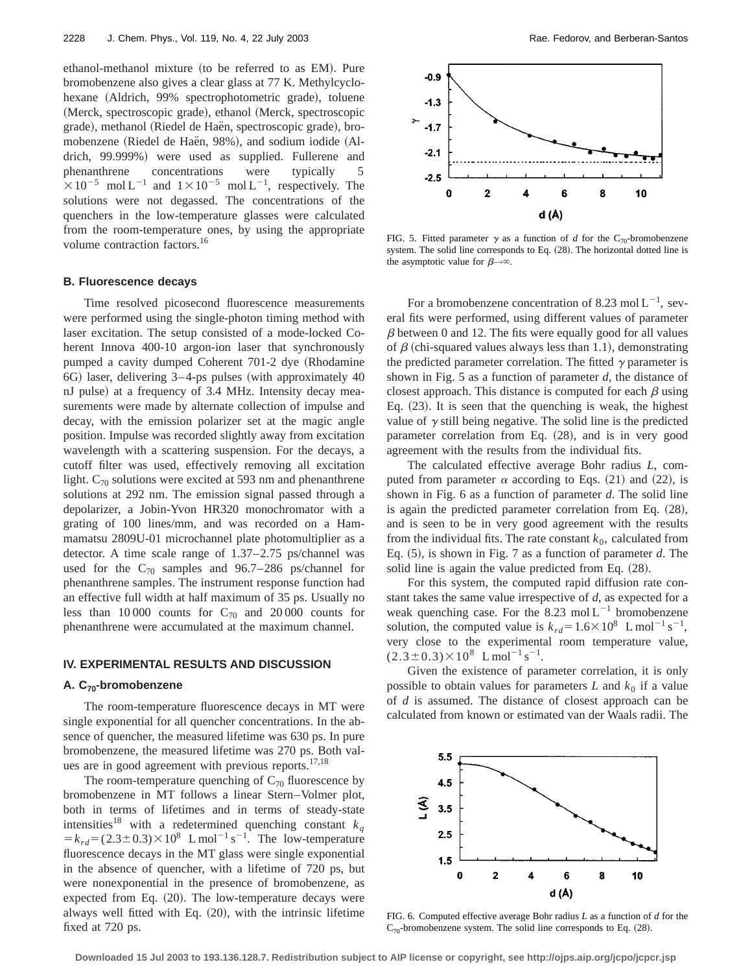ethanol-methanol mixture (to be referred to as EM). Pure bromobenzene also gives a clear glass at 77 K. Methylcyclohexane (Aldrich, 99% spectrophotometric grade), toluene (Merck, spectroscopic grade), ethanol (Merck, spectroscopic grade), methanol (Riedel de Haën, spectroscopic grade), bromobenzene (Riedel de Haën, 98%), and sodium iodide (Aldrich, 99.999%) were used as supplied. Fullerene and phenanthrene concentrations were typically 5  $\times 10^{-5}$  mol L<sup>-1</sup> and  $1\times 10^{-5}$  mol L<sup>-1</sup>, respectively. The solutions were not degassed. The concentrations of the quenchers in the low-temperature glasses were calculated from the room-temperature ones, by using the appropriate volume contraction factors.<sup>16</sup>

# **B. Fluorescence decays**

Time resolved picosecond fluorescence measurements were performed using the single-photon timing method with laser excitation. The setup consisted of a mode-locked Coherent Innova 400-10 argon-ion laser that synchronously pumped a cavity dumped Coherent 701-2 dye (Rhodamine  $6G$ ) laser, delivering  $3-4$ -ps pulses (with approximately  $40$ nJ pulse) at a frequency of 3.4 MHz. Intensity decay measurements were made by alternate collection of impulse and decay, with the emission polarizer set at the magic angle position. Impulse was recorded slightly away from excitation wavelength with a scattering suspension. For the decays, a cutoff filter was used, effectively removing all excitation light.  $C_{70}$  solutions were excited at 593 nm and phenanthrene solutions at 292 nm. The emission signal passed through a depolarizer, a Jobin-Yvon HR320 monochromator with a grating of 100 lines/mm, and was recorded on a Hammamatsu 2809U-01 microchannel plate photomultiplier as a detector. A time scale range of 1.37–2.75 ps/channel was used for the  $C_{70}$  samples and 96.7–286 ps/channel for phenanthrene samples. The instrument response function had an effective full width at half maximum of 35 ps. Usually no less than 10 000 counts for  $C_{70}$  and 20 000 counts for phenanthrene were accumulated at the maximum channel.

## **IV. EXPERIMENTAL RESULTS AND DISCUSSION**

# **A. C70-bromobenzene**

The room-temperature fluorescence decays in MT were single exponential for all quencher concentrations. In the absence of quencher, the measured lifetime was 630 ps. In pure bromobenzene, the measured lifetime was 270 ps. Both values are in good agreement with previous reports.<sup>17,18</sup>

The room-temperature quenching of  $C_{70}$  fluorescence by bromobenzene in MT follows a linear Stern–Volmer plot, both in terms of lifetimes and in terms of steady-state intensities<sup>18</sup> with a redetermined quenching constant  $k_q$  $= k_{rd} = (2.3 \pm 0.3) \times 10^8$  L mol<sup>-1</sup> s<sup>-1</sup>. The low-temperature fluorescence decays in the MT glass were single exponential in the absence of quencher, with a lifetime of 720 ps, but were nonexponential in the presence of bromobenzene, as expected from Eq.  $(20)$ . The low-temperature decays were always well fitted with Eq.  $(20)$ , with the intrinsic lifetime fixed at 720 ps.



FIG. 5. Fitted parameter  $\gamma$  as a function of *d* for the C<sub>70</sub>-bromobenzene system. The solid line corresponds to Eq. (28). The horizontal dotted line is the asymptotic value for  $\beta \rightarrow \infty$ .

For a bromobenzene concentration of 8.23 mol  $L^{-1}$ , several fits were performed, using different values of parameter  $\beta$  between 0 and 12. The fits were equally good for all values of  $\beta$  (chi-squared values always less than 1.1), demonstrating the predicted parameter correlation. The fitted  $\gamma$  parameter is shown in Fig. 5 as a function of parameter *d*, the distance of closest approach. This distance is computed for each  $\beta$  using Eq.  $(23)$ . It is seen that the quenching is weak, the highest value of  $\gamma$  still being negative. The solid line is the predicted parameter correlation from Eq.  $(28)$ , and is in very good agreement with the results from the individual fits.

The calculated effective average Bohr radius *L*, computed from parameter  $\alpha$  according to Eqs. (21) and (22), is shown in Fig. 6 as a function of parameter *d*. The solid line is again the predicted parameter correlation from Eq.  $(28)$ , and is seen to be in very good agreement with the results from the individual fits. The rate constant  $k_0$ , calculated from Eq.  $(5)$ , is shown in Fig. 7 as a function of parameter *d*. The solid line is again the value predicted from Eq.  $(28)$ .

For this system, the computed rapid diffusion rate constant takes the same value irrespective of *d*, as expected for a weak quenching case. For the 8.23 mol  $L^{-1}$  bromobenzene solution, the computed value is  $k_{rd} = 1.6 \times 10^8$  L mol<sup>-1</sup> s<sup>-1</sup>, very close to the experimental room temperature value,  $(2.3\pm0.3)\times10^{8}$  L mol<sup>-1</sup> s<sup>-1</sup>.

Given the existence of parameter correlation, it is only possible to obtain values for parameters  $L$  and  $k_0$  if a value of *d* is assumed. The distance of closest approach can be calculated from known or estimated van der Waals radii. The



FIG. 6. Computed effective average Bohr radius *L* as a function of *d* for the  $C_{70}$ -bromobenzene system. The solid line corresponds to Eq. (28).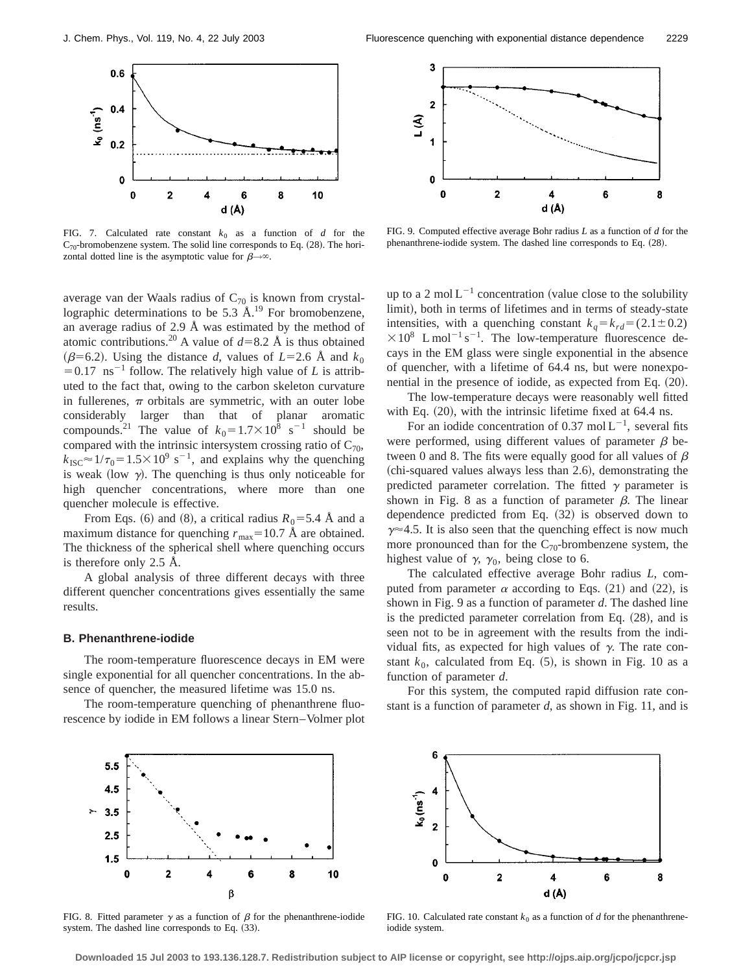

FIG. 7. Calculated rate constant  $k_0$  as a function of *d* for the  $C_{70}$ -bromobenzene system. The solid line corresponds to Eq. (28). The horizontal dotted line is the asymptotic value for  $\beta \rightarrow \infty$ .

average van der Waals radius of  $C_{70}$  is known from crystallographic determinations to be 5.3  $\AA$ .<sup>19</sup> For bromobenzene, an average radius of 2.9 Å was estimated by the method of atomic contributions.<sup>20</sup> A value of  $d=8.2$  Å is thus obtained  $(\beta=6.2)$ . Using the distance *d*, values of *L*=2.6 Å and  $k_0$  $=0.17$  ns<sup>-1</sup> follow. The relatively high value of *L* is attributed to the fact that, owing to the carbon skeleton curvature in fullerenes,  $\pi$  orbitals are symmetric, with an outer lobe considerably larger than that of planar aromatic compounds.<sup>21</sup> The value of  $k_0 = 1.7 \times 10^8$  s<sup>-1</sup> should be compared with the intrinsic intersystem crossing ratio of  $C_{70}$ ,  $k_{\text{ISC}} \approx 1/\tau_0 = 1.5 \times 10^9 \text{ s}^{-1}$ , and explains why the quenching is weak (low  $\gamma$ ). The quenching is thus only noticeable for high quencher concentrations, where more than one quencher molecule is effective.

From Eqs. (6) and (8), a critical radius  $R_0 = 5.4$  Å and a maximum distance for quenching  $r_{\text{max}}=10.7 \text{ Å}$  are obtained. The thickness of the spherical shell where quenching occurs is therefore only 2.5 Å.

A global analysis of three different decays with three different quencher concentrations gives essentially the same results.

#### **B. Phenanthrene-iodide**

The room-temperature fluorescence decays in EM were single exponential for all quencher concentrations. In the absence of quencher, the measured lifetime was 15.0 ns.

The room-temperature quenching of phenanthrene fluorescence by iodide in EM follows a linear Stern–Volmer plot



FIG. 9. Computed effective average Bohr radius *L* as a function of *d* for the phenanthrene-iodide system. The dashed line corresponds to Eq. (28).

up to a 2 mol  $L^{-1}$  concentration (value close to the solubility limit), both in terms of lifetimes and in terms of steady-state intensities, with a quenching constant  $k_a = k_{rd} = (2.1 \pm 0.2)$  $\times 10^8$  L mol<sup>-1</sup> s<sup>-1</sup>. The low-temperature fluorescence decays in the EM glass were single exponential in the absence of quencher, with a lifetime of 64.4 ns, but were nonexponential in the presence of iodide, as expected from Eq.  $(20)$ .

The low-temperature decays were reasonably well fitted with Eq.  $(20)$ , with the intrinsic lifetime fixed at 64.4 ns.

For an iodide concentration of 0.37 mol  $L^{-1}$ , several fits were performed, using different values of parameter  $\beta$  between 0 and 8. The fits were equally good for all values of  $\beta$  $~$  (chi-squared values always less than 2.6), demonstrating the predicted parameter correlation. The fitted  $\gamma$  parameter is shown in Fig. 8 as a function of parameter  $\beta$ . The linear dependence predicted from Eq.  $(32)$  is observed down to  $\gamma \approx 4.5$ . It is also seen that the quenching effect is now much more pronounced than for the  $C_{70}$ -brombenzene system, the highest value of  $\gamma$ ,  $\gamma_0$ , being close to 6.

The calculated effective average Bohr radius *L*, computed from parameter  $\alpha$  according to Eqs. (21) and (22), is shown in Fig. 9 as a function of parameter *d*. The dashed line is the predicted parameter correlation from Eq.  $(28)$ , and is seen not to be in agreement with the results from the individual fits, as expected for high values of  $\gamma$ . The rate constant  $k_0$ , calculated from Eq.  $(5)$ , is shown in Fig. 10 as a function of parameter *d*.

For this system, the computed rapid diffusion rate constant is a function of parameter *d*, as shown in Fig. 11, and is



FIG. 8. Fitted parameter  $\gamma$  as a function of  $\beta$  for the phenanthrene-iodide system. The dashed line corresponds to Eq.  $(33)$ .



FIG. 10. Calculated rate constant  $k_0$  as a function of *d* for the phenanthreneiodide system.

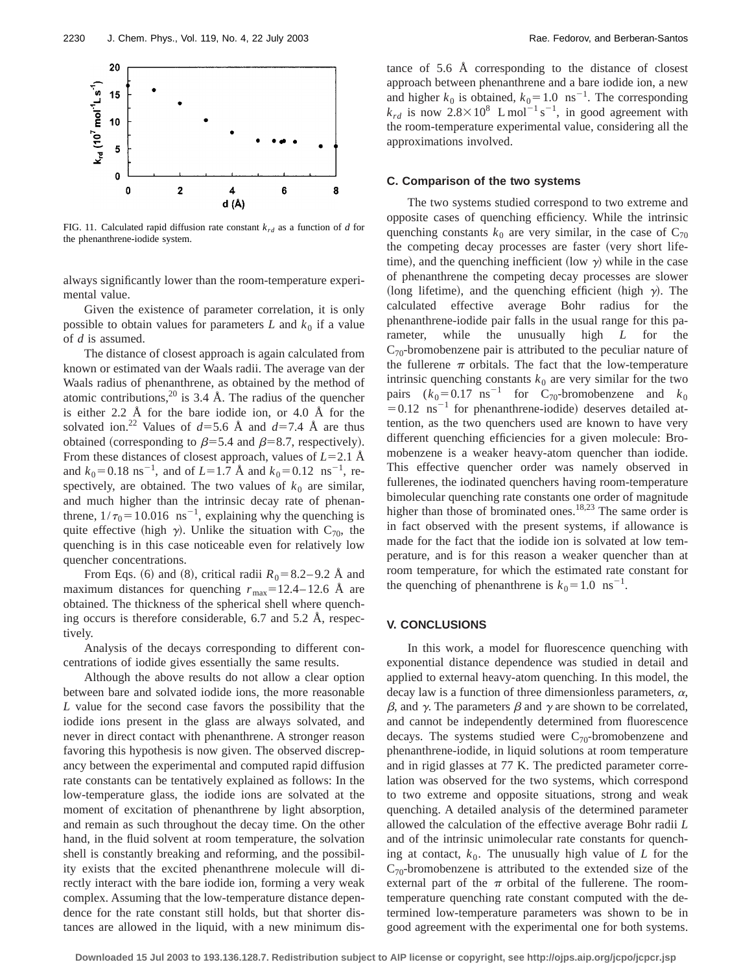

FIG. 11. Calculated rapid diffusion rate constant  $k_{rd}$  as a function of *d* for the phenanthrene-iodide system.

always significantly lower than the room-temperature experimental value.

Given the existence of parameter correlation, it is only possible to obtain values for parameters  $L$  and  $k_0$  if a value of *d* is assumed.

The distance of closest approach is again calculated from known or estimated van der Waals radii. The average van der Waals radius of phenanthrene, as obtained by the method of atomic contributions,  $2^0$  is 3.4 Å. The radius of the quencher is either 2.2 Å for the bare iodide ion, or 4.0 Å for the solvated ion.<sup>22</sup> Values of  $d=5.6$  Å and  $d=7.4$  Å are thus obtained (corresponding to  $\beta$ =5.4 and  $\beta$ =8.7, respectively). From these distances of closest approach, values of  $L=2.1$  Å and  $k_0 = 0.18 \text{ ns}^{-1}$ , and of  $L=1.7 \text{ Å}$  and  $k_0=0.12 \text{ ns}^{-1}$ , respectively, are obtained. The two values of  $k_0$  are similar, and much higher than the intrinsic decay rate of phenanthrene,  $1/\tau_0 = 10.016$  ns<sup>-1</sup>, explaining why the quenching is quite effective (high  $\gamma$ ). Unlike the situation with C<sub>70</sub>, the quenching is in this case noticeable even for relatively low quencher concentrations.

From Eqs. (6) and (8), critical radii  $R_0 = 8.2 - 9.2$  Å and maximum distances for quenching  $r_{\text{max}}=12.4-12.6 \text{ Å}$  are obtained. The thickness of the spherical shell where quenching occurs is therefore considerable, 6.7 and 5.2 Å, respectively.

Analysis of the decays corresponding to different concentrations of iodide gives essentially the same results.

Although the above results do not allow a clear option between bare and solvated iodide ions, the more reasonable *L* value for the second case favors the possibility that the iodide ions present in the glass are always solvated, and never in direct contact with phenanthrene. A stronger reason favoring this hypothesis is now given. The observed discrepancy between the experimental and computed rapid diffusion rate constants can be tentatively explained as follows: In the low-temperature glass, the iodide ions are solvated at the moment of excitation of phenanthrene by light absorption, and remain as such throughout the decay time. On the other hand, in the fluid solvent at room temperature, the solvation shell is constantly breaking and reforming, and the possibility exists that the excited phenanthrene molecule will directly interact with the bare iodide ion, forming a very weak complex. Assuming that the low-temperature distance dependence for the rate constant still holds, but that shorter distances are allowed in the liquid, with a new minimum distance of 5.6 Å corresponding to the distance of closest approach between phenanthrene and a bare iodide ion, a new and higher  $k_0$  is obtained,  $k_0 = 1.0 \text{ ns}^{-1}$ . The corresponding  $k_{rd}$  is now  $2.8 \times 10^8$  L mol<sup>-1</sup> s<sup>-1</sup>, in good agreement with the room-temperature experimental value, considering all the approximations involved.

# **C. Comparison of the two systems**

The two systems studied correspond to two extreme and opposite cases of quenching efficiency. While the intrinsic quenching constants  $k_0$  are very similar, in the case of  $C_{70}$ the competing decay processes are faster (very short lifetime), and the quenching inefficient (low  $\gamma$ ) while in the case of phenanthrene the competing decay processes are slower (long lifetime), and the quenching efficient (high  $\gamma$ ). The calculated effective average Bohr radius for the phenanthrene-iodide pair falls in the usual range for this parameter, while the unusually high *L* for the  $C_{70}$ -bromobenzene pair is attributed to the peculiar nature of the fullerene  $\pi$  orbitals. The fact that the low-temperature intrinsic quenching constants  $k_0$  are very similar for the two pairs  $(k_0=0.17 \text{ ns}^{-1}$  for C<sub>70</sub>-bromobenzene and  $k_0$  $=0.12$  ns<sup>-1</sup> for phenanthrene-iodide) deserves detailed attention, as the two quenchers used are known to have very different quenching efficiencies for a given molecule: Bromobenzene is a weaker heavy-atom quencher than iodide. This effective quencher order was namely observed in fullerenes, the iodinated quenchers having room-temperature bimolecular quenching rate constants one order of magnitude higher than those of brominated ones.<sup>18,23</sup> The same order is in fact observed with the present systems, if allowance is made for the fact that the iodide ion is solvated at low temperature, and is for this reason a weaker quencher than at room temperature, for which the estimated rate constant for the quenching of phenanthrene is  $k_0 = 1.0 \text{ ns}^{-1}$ .

#### **V. CONCLUSIONS**

In this work, a model for fluorescence quenching with exponential distance dependence was studied in detail and applied to external heavy-atom quenching. In this model, the decay law is a function of three dimensionless parameters,  $\alpha$ ,  $\beta$ , and  $\gamma$ . The parameters  $\beta$  and  $\gamma$  are shown to be correlated, and cannot be independently determined from fluorescence decays. The systems studied were  $C_{70}$ -bromobenzene and phenanthrene-iodide, in liquid solutions at room temperature and in rigid glasses at 77 K. The predicted parameter correlation was observed for the two systems, which correspond to two extreme and opposite situations, strong and weak quenching. A detailed analysis of the determined parameter allowed the calculation of the effective average Bohr radii *L* and of the intrinsic unimolecular rate constants for quenching at contact,  $k_0$ . The unusually high value of  $L$  for the  $C_{70}$ -bromobenzene is attributed to the extended size of the external part of the  $\pi$  orbital of the fullerene. The roomtemperature quenching rate constant computed with the determined low-temperature parameters was shown to be in good agreement with the experimental one for both systems.